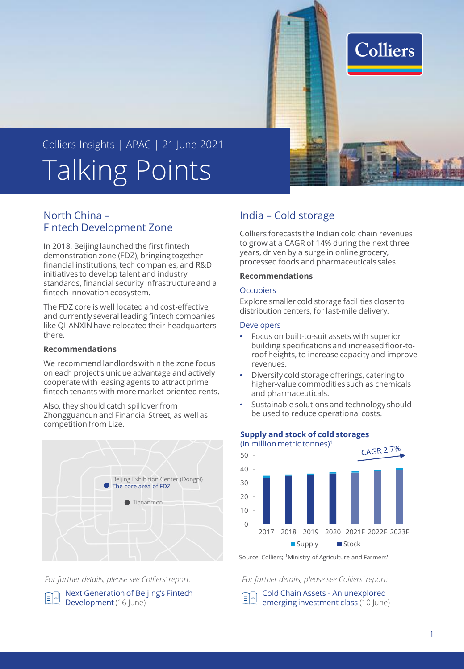

# Talking Points Colliers Insights | APAC | 21 June 2021

# North China – Fintech Development Zone

In 2018, Beijing launched the first fintech demonstration zone (FDZ), bringing together financial institutions, tech companies, and R&D initiatives to develop talent and industry standards, financial security infrastructure and a fintech innovation ecosystem.

The FDZ core is well located and cost-effective, and currently several leading fintech companies like QI-ANXIN have relocated their headquarters there.

#### **Recommendations**

We recommend landlords within the zone focus on each project's unique advantage and actively cooperate with leasing agents to attract prime fintech tenants with more market-oriented rents.

Also, they should catch spillover from Zhongguancun and Financial Street, as well as competition from Lize.



*For further details, please see Colliers' report:*

[Next Generation of Beijing's Fintech](https://www.colliers.com/en-cn/research/20210617--colliers-beijing-flash-beijing-fintech-demonstration-zone-en)  印 Development (16 June)

# India – Cold storage

Colliers forecasts the Indian cold chain revenues to grow at a CAGR of 14% during the next three years, driven by a surge in online grocery, processed foods and pharmaceuticals sales.

#### **Recommendations**

### **Occupiers**

Explore smaller cold storage facilities closer to distribution centers, for last-mile delivery.

### Developers

- Focus on built-to-suit assets with superior building specifications and increased floor-toroof heights, to increase capacity and improve revenues.
- Diversify cold storage offerings, catering to higher-value commodities such as chemicals and pharmaceuticals.
- Sustainable solutions and technology should be used to reduce operational costs.



# **Supply and stock of cold storages**

Source: Colliers; <sup>1</sup>Ministry of Agriculture and Farmers'

*For further details, please see Colliers' report:*

Cold Chain Assets - An unexplored [emerging investment class](https://www.colliers.com/en-in/research/opportunities-in-indian-cold-chain-assets) (10 June)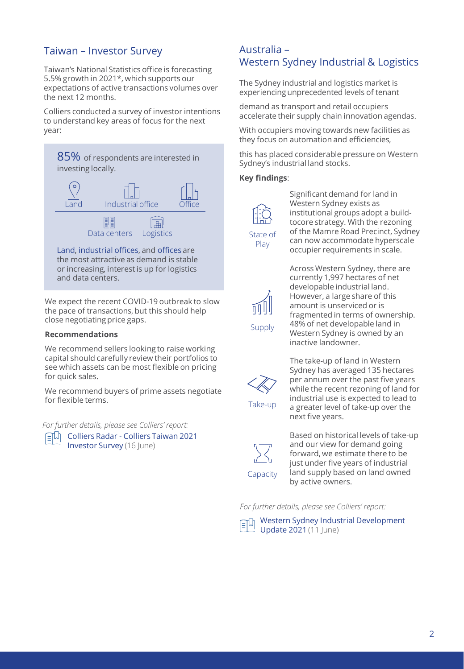# Taiwan – Investor Survey

Taiwan's National Statistics office is forecasting 5.5% growth in 2021\*, which supports our expectations of active transactions volumes over the next 12 months.

Colliers conducted a survey of investor intentions to understand key areas of focus for the next year:



or increasing, interest is up for logistics and data centers.

We expect the recent COVID-19 outbreak to slow the pace of transactions, but this should help close negotiating price gaps.

### **Recommendations**

We recommend sellers looking to raise working capital should carefully review their portfolios to see which assets can be most flexible on pricing for quick sales.

We recommend buyers of prime assets negotiate for flexible terms.

*For further details, please see Colliers' report:*

Colliers Radar - Colliers Taiwan 2021 Investor Survey (16 June)

# Australia – Western Sydney Industrial & Logistics

The Sydney industrial and logistics market is experiencing unprecedented levels of tenant

demand as transport and retail occupiers accelerate their supply chain innovation agendas.

With occupiers moving towards new facilities as they focus on automation and efficiencies,

this has placed considerable pressure on Western Sydney's industrial land stocks.

### **Key findings**:



Play

Significant demand for land in Western Sydney exists as institutional groups adopt a buildtocore strategy. With the rezoning of the Mamre Road Precinct, Sydney can now accommodate hyperscale occupier requirements in scale.



Across Western Sydney, there are currently 1,997 hectares of net developable industrial land. However, a large share of this amount is unserviced or is fragmented in terms of ownership. 48% of net developable land in Western Sydney is owned by an inactive landowner.



The take-up of land in Western Sydney has averaged 135 hectares per annum over the past five years while the recent rezoning of land for industrial use is expected to lead to a greater level of take-up over the next five years.



Based on historical levels of take-up and our view for demand going forward, we estimate there to be just under five years of industrial land supply based on land owned by active owners.

*For further details, please see Colliers' report:*

[Western Sydney Industrial Development](https://www.colliers.com.au/en-au/research/western-sydney-industrial-development-update-2021)  Update 2021 (11 June)